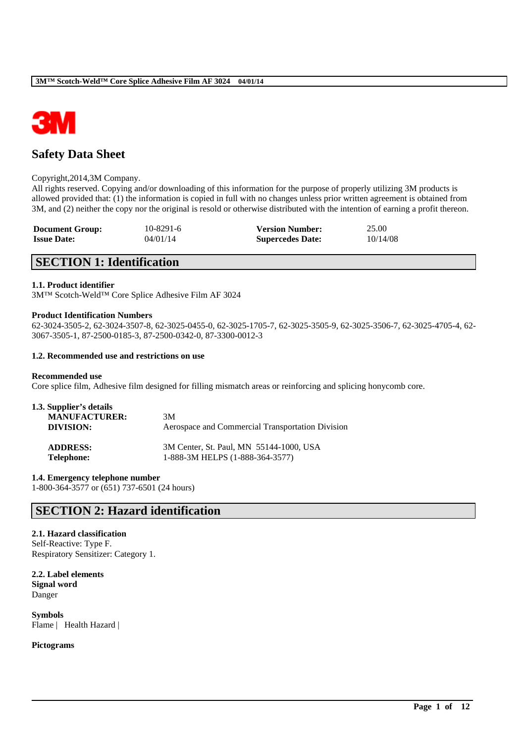

# **Safety Data Sheet**

### Copyright,2014,3M Company.

All rights reserved. Copying and/or downloading of this information for the purpose of properly utilizing 3M products is allowed provided that: (1) the information is copied in full with no changes unless prior written agreement is obtained from 3M, and (2) neither the copy nor the original is resold or otherwise distributed with the intention of earning a profit thereon.

| <b>Document Group:</b> | $10 - 8291 - 6$ | <b>Version Number:</b>  | 25.00    |
|------------------------|-----------------|-------------------------|----------|
| <b>Issue Date:</b>     | 04/01/14        | <b>Supercedes Date:</b> | 10/14/08 |

# **SECTION 1: Identification**

### **1.1. Product identifier**

3M™ Scotch-Weld™ Core Splice Adhesive Film AF 3024

### **Product Identification Numbers**

62-3024-3505-2, 62-3024-3507-8, 62-3025-0455-0, 62-3025-1705-7, 62-3025-3505-9, 62-3025-3506-7, 62-3025-4705-4, 62- 3067-3505-1, 87-2500-0185-3, 87-2500-0342-0, 87-3300-0012-3

\_\_\_\_\_\_\_\_\_\_\_\_\_\_\_\_\_\_\_\_\_\_\_\_\_\_\_\_\_\_\_\_\_\_\_\_\_\_\_\_\_\_\_\_\_\_\_\_\_\_\_\_\_\_\_\_\_\_\_\_\_\_\_\_\_\_\_\_\_\_\_\_\_\_\_\_\_\_\_\_\_\_\_\_\_\_\_\_\_\_

### **1.2. Recommended use and restrictions on use**

### **Recommended use**

Core splice film, Adhesive film designed for filling mismatch areas or reinforcing and splicing honycomb core.

| 1.3. Supplier's details<br><b>MANUFACTURER:</b><br>DIVISION: | 3M<br>Aerospace and Commercial Transportation Division |
|--------------------------------------------------------------|--------------------------------------------------------|
| <b>ADDRESS:</b>                                              | 3M Center, St. Paul, MN 55144-1000, USA                |
| <b>Telephone:</b>                                            | 1-888-3M HELPS (1-888-364-3577)                        |

#### **1.4. Emergency telephone number**

1-800-364-3577 or (651) 737-6501 (24 hours)

## **SECTION 2: Hazard identification**

### **2.1. Hazard classification**

Self-Reactive: Type F. Respiratory Sensitizer: Category 1.

**2.2. Label elements Signal word** Danger

**Symbols** Flame | Health Hazard |

### **Pictograms**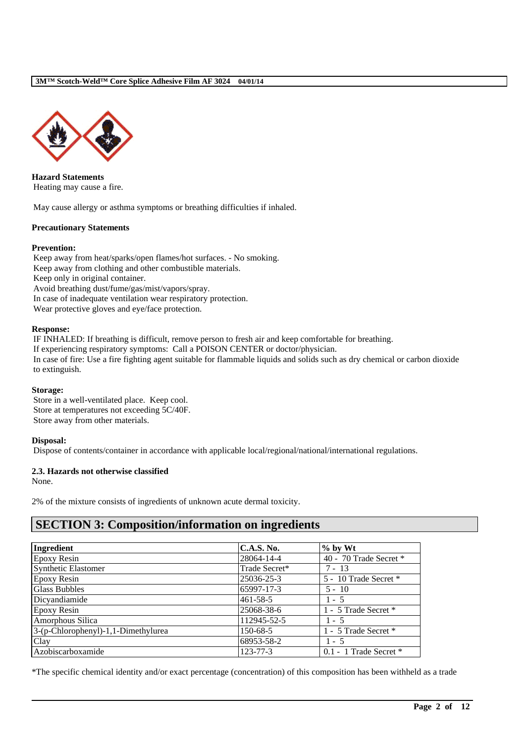

**Hazard Statements** Heating may cause a fire.

May cause allergy or asthma symptoms or breathing difficulties if inhaled.

## **Precautionary Statements**

## **Prevention:**

Keep away from heat/sparks/open flames/hot surfaces. - No smoking. Keep away from clothing and other combustible materials. Keep only in original container. Avoid breathing dust/fume/gas/mist/vapors/spray. In case of inadequate ventilation wear respiratory protection. Wear protective gloves and eye/face protection.

## **Response:**

IF INHALED: If breathing is difficult, remove person to fresh air and keep comfortable for breathing. If experiencing respiratory symptoms: Call a POISON CENTER or doctor/physician. In case of fire: Use a fire fighting agent suitable for flammable liquids and solids such as dry chemical or carbon dioxide to extinguish.

## **Storage:**

Store in a well-ventilated place. Keep cool. Store at temperatures not exceeding 5C/40F. Store away from other materials.

## **Disposal:**

Dispose of contents/container in accordance with applicable local/regional/national/international regulations.

## **2.3. Hazards not otherwise classified**

None.

2% of the mixture consists of ingredients of unknown acute dermal toxicity.

# **SECTION 3: Composition/information on ingredients**

| Ingredient                          | <b>C.A.S. No.</b> | $%$ by Wt                  |
|-------------------------------------|-------------------|----------------------------|
| <b>Epoxy Resin</b>                  | 28064-14-4        | 40 - 70 Trade Secret *     |
| <b>Synthetic Elastomer</b>          | Trade Secret*     | $7 - 13$                   |
| <b>Epoxy Resin</b>                  | 25036-25-3        | 5 - 10 Trade Secret *      |
| <b>Glass Bubbles</b>                | 65997-17-3        | $5 - 10$                   |
| Dicyandiamide                       | $461 - 58 - 5$    | $1 - 5$                    |
| Epoxy Resin                         | 25068-38-6        | 1 - 5 Trade Secret *       |
| Amorphous Silica                    | 112945-52-5       | $1 - 5$                    |
| 3-(p-Chlorophenyl)-1,1-Dimethylurea | 150-68-5          | 1 - 5 Trade Secret *       |
| Clay                                | 68953-58-2        | $1 - 5$                    |
| Azobiscarboxamide                   | $123 - 77 - 3$    | $0.1 - 1$ Trade Secret $*$ |

\*The specific chemical identity and/or exact percentage (concentration) of this composition has been withheld as a trade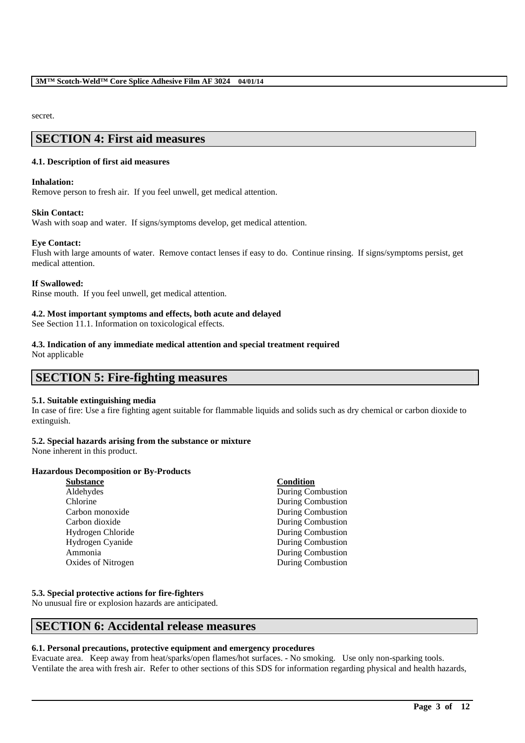secret.

# **SECTION 4: First aid measures**

### **4.1. Description of first aid measures**

### **Inhalation:**

Remove person to fresh air. If you feel unwell, get medical attention.

### **Skin Contact:**

Wash with soap and water. If signs/symptoms develop, get medical attention.

### **Eye Contact:**

Flush with large amounts of water. Remove contact lenses if easy to do. Continue rinsing. If signs/symptoms persist, get medical attention.

### **If Swallowed:**

Rinse mouth. If you feel unwell, get medical attention.

## **4.2. Most important symptoms and effects, both acute and delayed**

See Section 11.1. Information on toxicological effects.

## **4.3. Indication of any immediate medical attention and special treatment required**

Not applicable

## **SECTION 5: Fire-fighting measures**

## **5.1. Suitable extinguishing media**

In case of fire: Use a fire fighting agent suitable for flammable liquids and solids such as dry chemical or carbon dioxide to extinguish.

## **5.2. Special hazards arising from the substance or mixture**

None inherent in this product.

## **Hazardous Decomposition or By-Products**

| <b>Substance</b>   | Condition         |
|--------------------|-------------------|
| Aldehydes          | During Combustion |
| Chlorine           | During Combustion |
| Carbon monoxide    | During Combustion |
| Carbon dioxide     | During Combustion |
| Hydrogen Chloride  | During Combustion |
| Hydrogen Cyanide   | During Combustion |
| Ammonia            | During Combustion |
| Oxides of Nitrogen | During Combustion |
|                    |                   |

## **5.3. Special protective actions for fire-fighters**

No unusual fire or explosion hazards are anticipated.

## **SECTION 6: Accidental release measures**

## **6.1. Personal precautions, protective equipment and emergency procedures**

Evacuate area. Keep away from heat/sparks/open flames/hot surfaces. - No smoking. Use only non-sparking tools. Ventilate the area with fresh air. Refer to other sections of this SDS for information regarding physical and health hazards,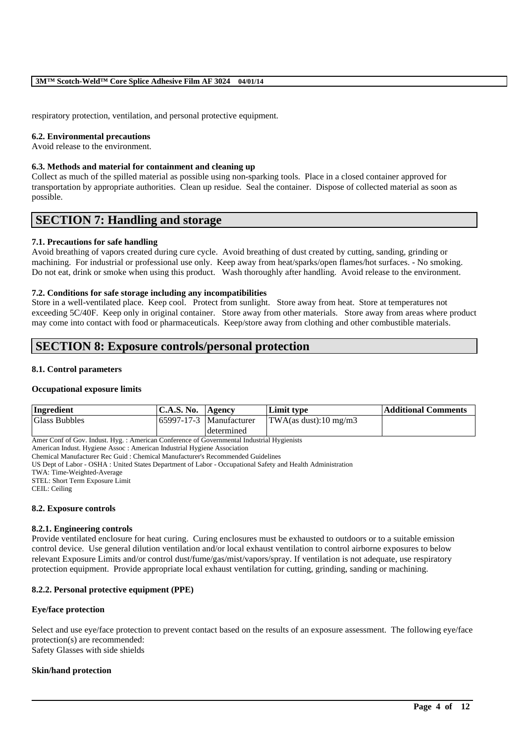respiratory protection, ventilation, and personal protective equipment.

### **6.2. Environmental precautions**

Avoid release to the environment.

### **6.3. Methods and material for containment and cleaning up**

Collect as much of the spilled material as possible using non-sparking tools. Place in a closed container approved for transportation by appropriate authorities. Clean up residue. Seal the container. Dispose of collected material as soon as possible.

## **SECTION 7: Handling and storage**

### **7.1. Precautions for safe handling**

Avoid breathing of vapors created during cure cycle. Avoid breathing of dust created by cutting, sanding, grinding or machining. For industrial or professional use only. Keep away from heat/sparks/open flames/hot surfaces. - No smoking. Do not eat, drink or smoke when using this product. Wash thoroughly after handling. Avoid release to the environment.

### **7.2. Conditions for safe storage including any incompatibilities**

Store in a well-ventilated place. Keep cool. Protect from sunlight. Store away from heat. Store at temperatures not exceeding 5C/40F. Keep only in original container. Store away from other materials. Store away from areas where product may come into contact with food or pharmaceuticals. Keep/store away from clothing and other combustible materials.

# **SECTION 8: Exposure controls/personal protection**

### **8.1. Control parameters**

### **Occupational exposure limits**

| Ingredient           | <b>C.A.S. No.</b> | Agency                         | Limit type            | <b>Additional Comments</b> |
|----------------------|-------------------|--------------------------------|-----------------------|----------------------------|
| <b>Glass Bubbles</b> |                   | $165997 - 17 - 3$ Manufacturer | TWA(as dust):10 mg/m3 |                            |
|                      |                   | determined                     |                       |                            |

Amer Conf of Gov. Indust. Hyg. : American Conference of Governmental Industrial Hygienists

American Indust. Hygiene Assoc : American Industrial Hygiene Association

Chemical Manufacturer Rec Guid : Chemical Manufacturer's Recommended Guidelines

US Dept of Labor - OSHA : United States Department of Labor - Occupational Safety and Health Administration

STEL: Short Term Exposure Limit

CEIL: Ceiling

### **8.2. Exposure controls**

### **8.2.1. Engineering controls**

Provide ventilated enclosure for heat curing. Curing enclosures must be exhausted to outdoors or to a suitable emission control device. Use general dilution ventilation and/or local exhaust ventilation to control airborne exposures to below relevant Exposure Limits and/or control dust/fume/gas/mist/vapors/spray. If ventilation is not adequate, use respiratory protection equipment. Provide appropriate local exhaust ventilation for cutting, grinding, sanding or machining.

## **8.2.2. Personal protective equipment (PPE)**

### **Eye/face protection**

Select and use eye/face protection to prevent contact based on the results of an exposure assessment. The following eye/face protection(s) are recommended: Safety Glasses with side shields

\_\_\_\_\_\_\_\_\_\_\_\_\_\_\_\_\_\_\_\_\_\_\_\_\_\_\_\_\_\_\_\_\_\_\_\_\_\_\_\_\_\_\_\_\_\_\_\_\_\_\_\_\_\_\_\_\_\_\_\_\_\_\_\_\_\_\_\_\_\_\_\_\_\_\_\_\_\_\_\_\_\_\_\_\_\_\_\_\_\_

### **Skin/hand protection**

TWA: Time-Weighted-Average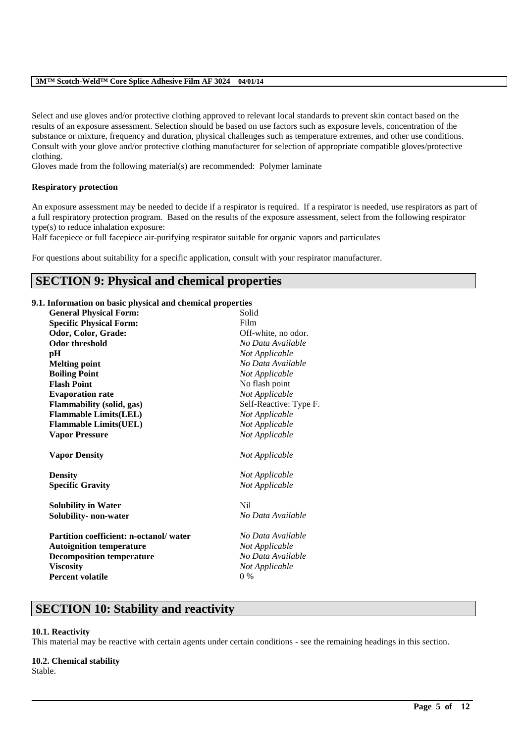Select and use gloves and/or protective clothing approved to relevant local standards to prevent skin contact based on the results of an exposure assessment. Selection should be based on use factors such as exposure levels, concentration of the substance or mixture, frequency and duration, physical challenges such as temperature extremes, and other use conditions. Consult with your glove and/or protective clothing manufacturer for selection of appropriate compatible gloves/protective clothing.

Gloves made from the following material(s) are recommended: Polymer laminate

## **Respiratory protection**

An exposure assessment may be needed to decide if a respirator is required. If a respirator is needed, use respirators as part of a full respiratory protection program. Based on the results of the exposure assessment, select from the following respirator type(s) to reduce inhalation exposure:

Half facepiece or full facepiece air-purifying respirator suitable for organic vapors and particulates

For questions about suitability for a specific application, consult with your respirator manufacturer.

# **SECTION 9: Physical and chemical properties**

## **9.1. Information on basic physical and chemical properties**

| <b>General Physical Form:</b>                        | Solid                            |
|------------------------------------------------------|----------------------------------|
| <b>Specific Physical Form:</b>                       | Film                             |
| Odor, Color, Grade:                                  | Off-white, no odor.              |
| <b>Odor threshold</b>                                | No Data Available                |
| pН                                                   | Not Applicable                   |
| <b>Melting point</b>                                 | No Data Available                |
| <b>Boiling Point</b>                                 | Not Applicable                   |
| <b>Flash Point</b>                                   | No flash point                   |
| <b>Evaporation rate</b>                              | Not Applicable                   |
| Flammability (solid, gas)                            | Self-Reactive: Type F.           |
| <b>Flammable Limits(LEL)</b>                         | Not Applicable                   |
| <b>Flammable Limits(UEL)</b>                         | Not Applicable                   |
| <b>Vapor Pressure</b>                                | Not Applicable                   |
|                                                      |                                  |
| <b>Vapor Density</b>                                 | Not Applicable                   |
|                                                      |                                  |
| <b>Density</b><br><b>Specific Gravity</b>            | Not Applicable<br>Not Applicable |
|                                                      | N <sub>i</sub>                   |
| <b>Solubility in Water</b><br>Solubility- non-water  | No Data Available                |
| <b>Partition coefficient: n-octanol/water</b>        | No Data Available                |
| <b>Autoignition temperature</b>                      | Not Applicable                   |
|                                                      | No Data Available                |
| <b>Decomposition temperature</b><br><b>Viscosity</b> |                                  |
| <b>Percent volatile</b>                              | Not Applicable<br>$0\%$          |

## **SECTION 10: Stability and reactivity**

### **10.1. Reactivity**

This material may be reactive with certain agents under certain conditions - see the remaining headings in this section.

\_\_\_\_\_\_\_\_\_\_\_\_\_\_\_\_\_\_\_\_\_\_\_\_\_\_\_\_\_\_\_\_\_\_\_\_\_\_\_\_\_\_\_\_\_\_\_\_\_\_\_\_\_\_\_\_\_\_\_\_\_\_\_\_\_\_\_\_\_\_\_\_\_\_\_\_\_\_\_\_\_\_\_\_\_\_\_\_\_\_

## **10.2. Chemical stability**

Stable.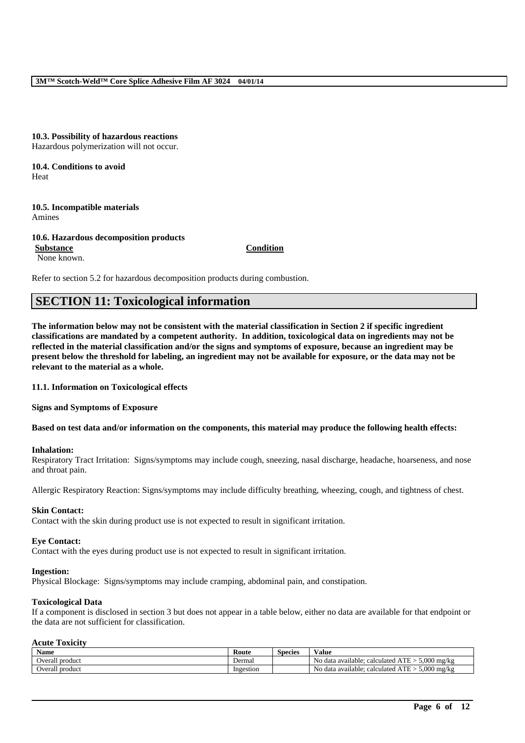### **10.3. Possibility of hazardous reactions** Hazardous polymerization will not occur.

### **10.4. Conditions to avoid** Heat

**10.5. Incompatible materials** Amines

**10.6. Hazardous decomposition products Substance Condition** None known.

Refer to section 5.2 for hazardous decomposition products during combustion.

# **SECTION 11: Toxicological information**

**The information below may not be consistent with the material classification in Section 2 if specific ingredient classifications are mandated by a competent authority. In addition, toxicological data on ingredients may not be reflected in the material classification and/or the signs and symptoms of exposure, because an ingredient may be present below the threshold for labeling, an ingredient may not be available for exposure, or the data may not be relevant to the material as a whole.**

**11.1. Information on Toxicological effects**

**Signs and Symptoms of Exposure**

**Based on test data and/or information on the components, this material may produce the following health effects:**

### **Inhalation:**

Respiratory Tract Irritation: Signs/symptoms may include cough, sneezing, nasal discharge, headache, hoarseness, and nose and throat pain.

Allergic Respiratory Reaction: Signs/symptoms may include difficulty breathing, wheezing, cough, and tightness of chest.

#### **Skin Contact:**

Contact with the skin during product use is not expected to result in significant irritation.

#### **Eye Contact:**

Contact with the eyes during product use is not expected to result in significant irritation.

#### **Ingestion:**

Physical Blockage: Signs/symptoms may include cramping, abdominal pain, and constipation.

#### **Toxicological Data**

If a component is disclosed in section 3 but does not appear in a table below, either no data are available for that endpoint or the data are not sufficient for classification.

### **Acute Toxicity**

| Name               | Route     | <b>Species</b> | Value                                                                    |
|--------------------|-----------|----------------|--------------------------------------------------------------------------|
| Overall<br>product | Dermal    |                | 5.000<br>$-$<br>No.<br>mg/kg<br>∴ calculate c<br>data available:<br>.    |
| Overall<br>product | Ingestion |                | 5.000<br>$-$<br>mg/kg<br>No.<br>calculated<br>data available:<br>¬ L L ∠ |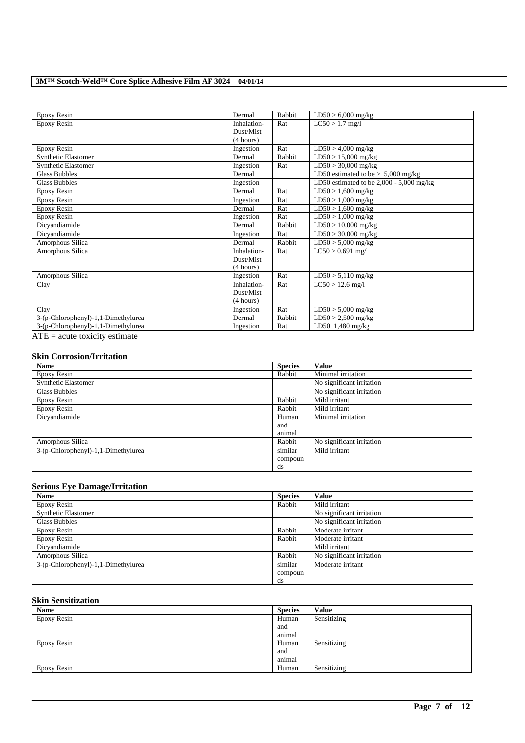| Epoxy Resin                                                                                                                                                                                                                    | Dermal      | Rabbit | $LD50 > 6,000$ mg/kg                       |
|--------------------------------------------------------------------------------------------------------------------------------------------------------------------------------------------------------------------------------|-------------|--------|--------------------------------------------|
| Epoxy Resin                                                                                                                                                                                                                    | Inhalation- | Rat    | $LC50 > 1.7$ mg/l                          |
|                                                                                                                                                                                                                                | Dust/Mist   |        |                                            |
|                                                                                                                                                                                                                                | (4 hours)   |        |                                            |
| Epoxy Resin                                                                                                                                                                                                                    | Ingestion   | Rat    | $\overline{\text{LD}}$ 50 > 4,000 mg/kg    |
| <b>Synthetic Elastomer</b>                                                                                                                                                                                                     | Dermal      | Rabbit | $LD50 > 15,000$ mg/kg                      |
| Synthetic Elastomer                                                                                                                                                                                                            | Ingestion   | Rat    | $LD50 > 30,000$ mg/kg                      |
| <b>Glass Bubbles</b>                                                                                                                                                                                                           | Dermal      |        | LD50 estimated to be $> 5,000$ mg/kg       |
| <b>Glass Bubbles</b>                                                                                                                                                                                                           | Ingestion   |        | LD50 estimated to be $2,000 - 5,000$ mg/kg |
| Epoxy Resin                                                                                                                                                                                                                    | Dermal      | Rat    | $LD50 > 1,600$ mg/kg                       |
| Epoxy Resin                                                                                                                                                                                                                    | Ingestion   | Rat    | $LD50 > 1,000$ mg/kg                       |
| Epoxy Resin                                                                                                                                                                                                                    | Dermal      | Rat    | $LD50 > 1,600$ mg/kg                       |
| Epoxy Resin                                                                                                                                                                                                                    | Ingestion   | Rat    | $LD50 > 1,000$ mg/kg                       |
| Dicyandiamide                                                                                                                                                                                                                  | Dermal      | Rabbit | $LD50 > 10,000$ mg/kg                      |
| Dicyandiamide                                                                                                                                                                                                                  | Ingestion   | Rat    | $LD50 > 30,000$ mg/kg                      |
| Amorphous Silica                                                                                                                                                                                                               | Dermal      | Rabbit | $\overline{\text{LD50}}$ > 5,000 mg/kg     |
| Amorphous Silica                                                                                                                                                                                                               | Inhalation- | Rat    | $LC50 > 0.691$ mg/l                        |
|                                                                                                                                                                                                                                | Dust/Mist   |        |                                            |
|                                                                                                                                                                                                                                | (4 hours)   |        |                                            |
| Amorphous Silica                                                                                                                                                                                                               | Ingestion   | Rat    | $LD50 > 5,110$ mg/kg                       |
| Clay                                                                                                                                                                                                                           | Inhalation- | Rat    | $LC50 > 12.6$ mg/l                         |
|                                                                                                                                                                                                                                | Dust/Mist   |        |                                            |
|                                                                                                                                                                                                                                | (4 hours)   |        |                                            |
| Clay                                                                                                                                                                                                                           | Ingestion   | Rat    | $LD50 > 5,000$ mg/kg                       |
| 3-(p-Chlorophenyl)-1,1-Dimethylurea                                                                                                                                                                                            | Dermal      | Rabbit | $LD50 > 2,500$ mg/kg                       |
| 3-(p-Chlorophenyl)-1,1-Dimethylurea                                                                                                                                                                                            | Ingestion   | Rat    | LD50 1,480 mg/kg                           |
| A FEED A RESIDENCE A RESIDENCE A RESIDENCE A RESIDENCE A RESIDENCE A RESIDENCE A RESIDENCE A RESIDENCE A RESIDENCE A RESIDENCE A RESIDENCE A RESIDENCE A RESIDENCE A RESIDENCE A RESIDENCE A RESIDENCE A RESIDENCE A RESIDENCE |             |        |                                            |

 $ATE = acute$  toxicity estimate

#### **Skin Corrosion/Irritation**

| <b>Name</b>                         | <b>Species</b> | <b>Value</b>              |
|-------------------------------------|----------------|---------------------------|
| Epoxy Resin                         | Rabbit         | Minimal irritation        |
| <b>Synthetic Elastomer</b>          |                | No significant irritation |
| <b>Glass Bubbles</b>                |                | No significant irritation |
| Epoxy Resin                         | Rabbit         | Mild irritant             |
| Epoxy Resin                         | Rabbit         | Mild irritant             |
| Dicyandiamide                       | Human          | Minimal irritation        |
|                                     | and            |                           |
|                                     | animal         |                           |
| Amorphous Silica                    | Rabbit         | No significant irritation |
| 3-(p-Chlorophenyl)-1,1-Dimethylurea | similar        | Mild irritant             |
|                                     | compoun        |                           |
|                                     | ds             |                           |

## **Serious Eye Damage/Irritation**

| <b>Name</b>                         | <b>Species</b> | <b>Value</b>              |
|-------------------------------------|----------------|---------------------------|
| Epoxy Resin                         | Rabbit         | Mild irritant             |
| <b>Synthetic Elastomer</b>          |                | No significant irritation |
| Glass Bubbles                       |                | No significant irritation |
| Epoxy Resin                         | Rabbit         | Moderate irritant         |
| Epoxy Resin                         | Rabbit         | Moderate irritant         |
| Dicyandiamide                       |                | Mild irritant             |
| Amorphous Silica                    | Rabbit         | No significant irritation |
| 3-(p-Chlorophenyl)-1,1-Dimethylurea | similar        | Moderate irritant         |
|                                     | compoun        |                           |
|                                     | ds             |                           |

## **Skin Sensitization**

| Name        | <b>Species</b> | <b>Value</b> |
|-------------|----------------|--------------|
| Epoxy Resin | Human          | Sensitizing  |
|             | and            |              |
|             | animal         |              |
| Epoxy Resin | Human          | Sensitizing  |
|             | and            |              |
|             | animal         |              |
| Epoxy Resin | Human          | Sensitizing  |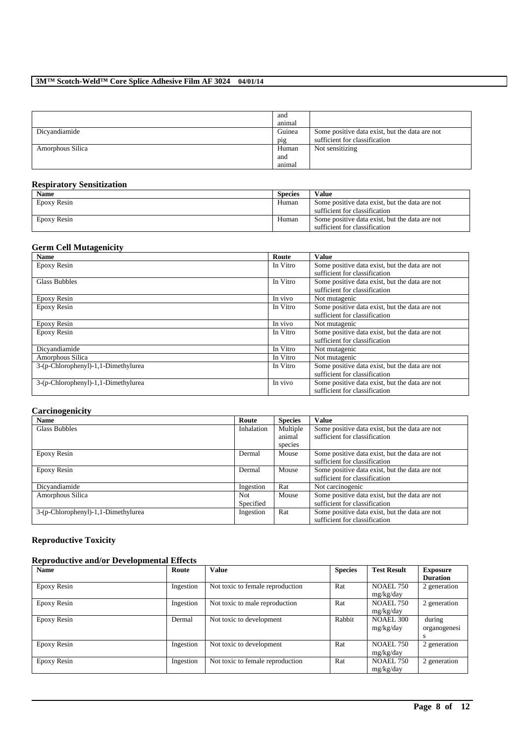|                  | and<br>animal |                                                |
|------------------|---------------|------------------------------------------------|
| Dicyandiamide    | Guinea        | Some positive data exist, but the data are not |
|                  | pig           | sufficient for classification                  |
| Amorphous Silica | Human         | Not sensitizing                                |
|                  | and           |                                                |
|                  | animal        |                                                |

## **Respiratory Sensitization**

| <b>Name</b> | <b>Species</b> | <b>Value</b>                                   |
|-------------|----------------|------------------------------------------------|
| Epoxy Resin | Human          | Some positive data exist, but the data are not |
|             |                | sufficient for classification                  |
| Epoxy Resin | Human          | Some positive data exist, but the data are not |
|             |                | sufficient for classification                  |

## **Germ Cell Mutagenicity**

| <b>Name</b>                         | Route    | <b>Value</b>                                   |
|-------------------------------------|----------|------------------------------------------------|
| Epoxy Resin                         | In Vitro | Some positive data exist, but the data are not |
|                                     |          | sufficient for classification                  |
| <b>Glass Bubbles</b>                | In Vitro | Some positive data exist, but the data are not |
|                                     |          | sufficient for classification                  |
| Epoxy Resin                         | In vivo  | Not mutagenic                                  |
| Epoxy Resin                         | In Vitro | Some positive data exist, but the data are not |
|                                     |          | sufficient for classification                  |
| Epoxy Resin                         | In vivo  | Not mutagenic                                  |
| Epoxy Resin                         | In Vitro | Some positive data exist, but the data are not |
|                                     |          | sufficient for classification                  |
| Dicyandiamide                       | In Vitro | Not mutagenic                                  |
| Amorphous Silica                    | In Vitro | Not mutagenic                                  |
| 3-(p-Chlorophenyl)-1,1-Dimethylurea | In Vitro | Some positive data exist, but the data are not |
|                                     |          | sufficient for classification                  |
| 3-(p-Chlorophenyl)-1,1-Dimethylurea | In vivo  | Some positive data exist, but the data are not |
|                                     |          | sufficient for classification                  |

## **Carcinogenicity**

| <b>Name</b>                         | Route      | <b>Species</b> | Value                                          |
|-------------------------------------|------------|----------------|------------------------------------------------|
| <b>Glass Bubbles</b>                | Inhalation | Multiple       | Some positive data exist, but the data are not |
|                                     |            | animal         | sufficient for classification                  |
|                                     |            | species        |                                                |
| Epoxy Resin                         | Dermal     | Mouse          | Some positive data exist, but the data are not |
|                                     |            |                | sufficient for classification                  |
| Epoxy Resin                         | Dermal     | Mouse          | Some positive data exist, but the data are not |
|                                     |            |                | sufficient for classification                  |
| Dicyandiamide                       | Ingestion  | Rat            | Not carcinogenic                               |
| Amorphous Silica                    | Not.       | Mouse          | Some positive data exist, but the data are not |
|                                     | Specified  |                | sufficient for classification                  |
| 3-(p-Chlorophenyl)-1,1-Dimethylurea | Ingestion  | Rat            | Some positive data exist, but the data are not |
|                                     |            |                | sufficient for classification                  |

## **Reproductive Toxicity**

## **Reproductive and/or Developmental Effects**

| <b>Name</b> | Route     | Value                            | <b>Species</b> | <b>Test Result</b>            | <b>Exposure</b><br><b>Duration</b> |
|-------------|-----------|----------------------------------|----------------|-------------------------------|------------------------------------|
| Epoxy Resin | Ingestion | Not toxic to female reproduction | Rat            | <b>NOAEL 750</b><br>mg/kg/day | 2 generation                       |
| Epoxy Resin | Ingestion | Not toxic to male reproduction   | Rat            | <b>NOAEL 750</b><br>mg/kg/day | 2 generation                       |
| Epoxy Resin | Dermal    | Not toxic to development         | Rabbit         | <b>NOAEL 300</b><br>mg/kg/day | during<br>organogenesi<br>s        |
| Epoxy Resin | Ingestion | Not toxic to development         | Rat            | <b>NOAEL 750</b><br>mg/kg/day | 2 generation                       |
| Epoxy Resin | Ingestion | Not toxic to female reproduction | Rat            | <b>NOAEL 750</b><br>mg/kg/day | 2 generation                       |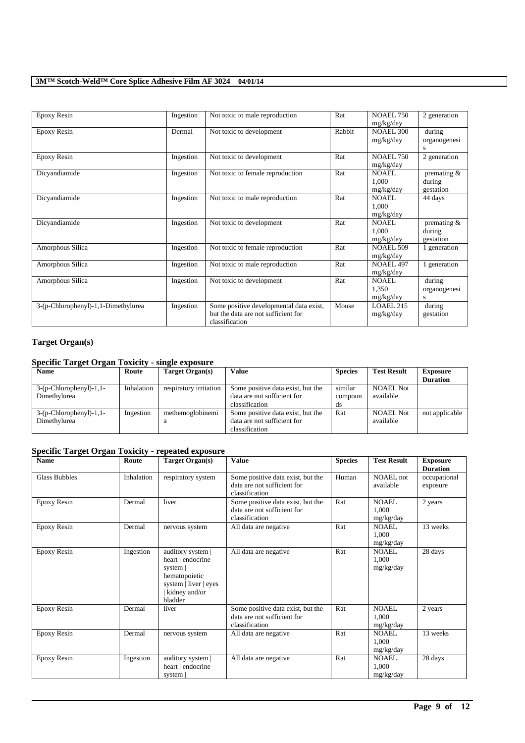| Epoxy Resin                         | Ingestion | Not toxic to male reproduction                                                                   | Rat    | <b>NOAEL 750</b><br>mg/kg/day      | 2 generation                         |
|-------------------------------------|-----------|--------------------------------------------------------------------------------------------------|--------|------------------------------------|--------------------------------------|
| Epoxy Resin                         | Dermal    | Not toxic to development                                                                         | Rabbit | <b>NOAEL 300</b><br>mg/kg/day      | during<br>organogenesi<br>s          |
| Epoxy Resin                         | Ingestion | Not toxic to development                                                                         | Rat    | <b>NOAEL 750</b><br>mg/kg/day      | 2 generation                         |
| Dicyandiamide                       | Ingestion | Not toxic to female reproduction                                                                 | Rat    | NOAEL.<br>1.000<br>mg/kg/day       | premating $&$<br>during<br>gestation |
| Dicyandiamide                       | Ingestion | Not toxic to male reproduction                                                                   | Rat    | <b>NOAEL</b><br>1.000<br>mg/kg/day | 44 days                              |
| Dicyandiamide                       | Ingestion | Not toxic to development                                                                         | Rat    | <b>NOAEL</b><br>1.000<br>mg/kg/day | premating &<br>during<br>gestation   |
| Amorphous Silica                    | Ingestion | Not toxic to female reproduction                                                                 | Rat    | <b>NOAEL 509</b><br>mg/kg/day      | 1 generation                         |
| Amorphous Silica                    | Ingestion | Not toxic to male reproduction                                                                   | Rat    | NOAEL 497<br>mg/kg/day             | generation                           |
| Amorphous Silica                    | Ingestion | Not toxic to development                                                                         | Rat    | <b>NOAEL</b><br>1,350<br>mg/kg/day | during<br>organogenesi<br>S          |
| 3-(p-Chlorophenyl)-1,1-Dimethylurea | Ingestion | Some positive developmental data exist,<br>but the data are not sufficient for<br>classification | Mouse  | LOAEL 215<br>mg/kg/day             | during<br>gestation                  |

## **Target Organ(s)**

## **Specific Target Organ Toxicity - single exposure**

| <b>Name</b>               | Route      | Target Organ(s)        | Value                             | <b>Species</b> | <b>Test Result</b> | <b>Exposure</b> |
|---------------------------|------------|------------------------|-----------------------------------|----------------|--------------------|-----------------|
|                           |            |                        |                                   |                |                    | <b>Duration</b> |
| $3-(p-Chlorophenyl)-1,1-$ | Inhalation | respiratory irritation | Some positive data exist, but the | similar        | <b>NOAEL Not</b>   |                 |
| Dimethylurea              |            |                        | data are not sufficient for       | compoun        | available          |                 |
|                           |            |                        | classification                    | ds             |                    |                 |
| $3-(p-Chlorophenyl)-1,1-$ | Ingestion  | methemoglobinemi       | Some positive data exist, but the | Rat            | <b>NOAEL Not</b>   | not applicable  |
| Dimethylurea              |            | a                      | data are not sufficient for       |                | available          |                 |
|                           |            |                        | classification                    |                |                    |                 |

## **Specific Target Organ Toxicity - repeated exposure**

| -<br><b>Name</b>     | Route      | <b>Target Organ(s)</b>                                                                                                   | <b>Value</b>                                                                       | <b>Species</b> | <b>Test Result</b>                 | <b>Exposure</b><br><b>Duration</b> |
|----------------------|------------|--------------------------------------------------------------------------------------------------------------------------|------------------------------------------------------------------------------------|----------------|------------------------------------|------------------------------------|
| <b>Glass Bubbles</b> | Inhalation | respiratory system                                                                                                       | Some positive data exist, but the<br>data are not sufficient for<br>classification | Human          | NOAEL not<br>available             | occupational<br>exposure           |
| Epoxy Resin          | Dermal     | liver                                                                                                                    | Some positive data exist, but the<br>data are not sufficient for<br>classification | Rat            | NOAEL.<br>1.000<br>mg/kg/day       | 2 years                            |
| Epoxy Resin          | Dermal     | nervous system                                                                                                           | All data are negative                                                              | Rat            | NOAEL.<br>1.000<br>mg/kg/day       | 13 weeks                           |
| <b>Epoxy Resin</b>   | Ingestion  | auditory system  <br>heart   endocrine<br>system  <br>hematopoietic<br>system   liver   eyes<br>kidney and/or<br>bladder | All data are negative                                                              | Rat            | <b>NOAEL</b><br>1,000<br>mg/kg/day | 28 days                            |
| <b>Epoxy Resin</b>   | Dermal     | liver                                                                                                                    | Some positive data exist, but the<br>data are not sufficient for<br>classification | Rat            | NOAEL<br>1,000<br>mg/kg/day        | 2 years                            |
| Epoxy Resin          | Dermal     | nervous system                                                                                                           | All data are negative                                                              | Rat            | NOAEL.<br>1,000<br>mg/kg/day       | 13 weeks                           |
| Epoxy Resin          | Ingestion  | auditory system  <br>heart   endocrine<br>system                                                                         | All data are negative                                                              | Rat            | <b>NOAEL</b><br>1,000<br>mg/kg/day | 28 days                            |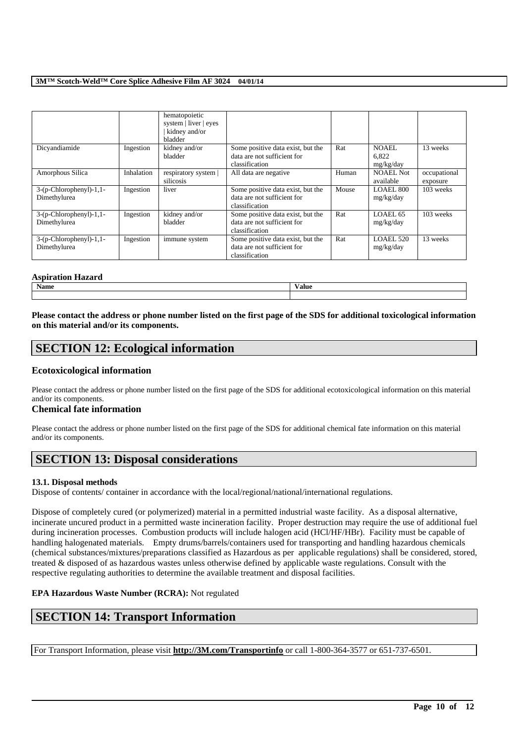|                                            |            | hematopoietic<br>system   liver   eyes<br>kidney and/or<br>bladder |                                                                                    |       |                               |                          |
|--------------------------------------------|------------|--------------------------------------------------------------------|------------------------------------------------------------------------------------|-------|-------------------------------|--------------------------|
| Dicyandiamide                              | Ingestion  | kidney and/or<br>bladder                                           | Some positive data exist, but the<br>data are not sufficient for<br>classification | Rat   | NOAEL.<br>6.822<br>mg/kg/day  | 13 weeks                 |
| Amorphous Silica                           | Inhalation | respiratory system  <br>silicosis                                  | All data are negative                                                              | Human | <b>NOAEL Not</b><br>available | occupational<br>exposure |
| $3-(p-Chlorophenyl)-1,1-$<br>Dimethylurea  | Ingestion  | liver                                                              | Some positive data exist, but the<br>data are not sufficient for<br>classification | Mouse | LOAEL 800<br>mg/kg/day        | 103 weeks                |
| $3-(p-Chloropheny) - 1,1-$<br>Dimethylurea | Ingestion  | kidney and/or<br>bladder                                           | Some positive data exist, but the<br>data are not sufficient for<br>classification | Rat   | LOAEL 65<br>mg/kg/day         | 103 weeks                |
| $3-(p-Chloropheny) - 1,1-$<br>Dimethylurea | Ingestion  | immune system                                                      | Some positive data exist, but the<br>data are not sufficient for<br>classification | Rat   | $LOAEL$ 520<br>mg/kg/day      | 13 weeks                 |

## **Aspiration Hazard**

| - Aspiration паzaru |       |
|---------------------|-------|
| <b>Name</b>         | Value |
|                     |       |

**Please contact the address or phone number listed on the first page of the SDS for additional toxicological information on this material and/or its components.**

# **SECTION 12: Ecological information**

## **Ecotoxicological information**

Please contact the address or phone number listed on the first page of the SDS for additional ecotoxicological information on this material and/or its components.

## **Chemical fate information**

Please contact the address or phone number listed on the first page of the SDS for additional chemical fate information on this material and/or its components.

# **SECTION 13: Disposal considerations**

## **13.1. Disposal methods**

Dispose of contents/ container in accordance with the local/regional/national/international regulations.

Dispose of completely cured (or polymerized) material in a permitted industrial waste facility. As a disposal alternative, incinerate uncured product in a permitted waste incineration facility. Proper destruction may require the use of additional fuel during incineration processes. Combustion products will include halogen acid (HCl/HF/HBr). Facility must be capable of handling halogenated materials. Empty drums/barrels/containers used for transporting and handling hazardous chemicals (chemical substances/mixtures/preparations classified as Hazardous as per applicable regulations) shall be considered, stored, treated & disposed of as hazardous wastes unless otherwise defined by applicable waste regulations. Consult with the respective regulating authorities to determine the available treatment and disposal facilities.

## **EPA Hazardous Waste Number (RCRA):** Not regulated

# **SECTION 14: Transport Information**

For Transport Information, please visit **http://3M.com/Transportinfo** or call 1-800-364-3577 or 651-737-6501.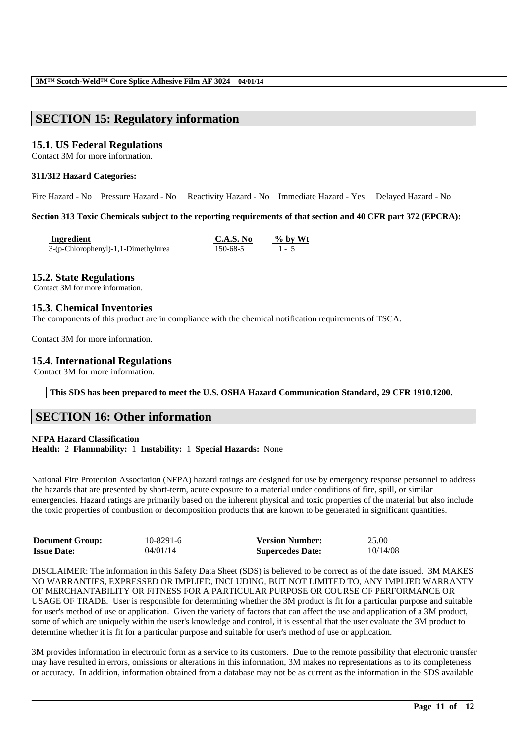# **SECTION 15: Regulatory information**

## **15.1. US Federal Regulations**

Contact 3M for more information.

### **311/312 Hazard Categories:**

Fire Hazard - No Pressure Hazard - No Reactivity Hazard - No Immediate Hazard - Yes Delayed Hazard - No

**Section 313 Toxic Chemicals subject to the reporting requirements of that section and 40 CFR part 372 (EPCRA):**

| Ingredient                          | <b>C.A.S. No</b> | $\%$ by Wt |
|-------------------------------------|------------------|------------|
| 3-(p-Chlorophenyl)-1,1-Dimethylurea | 150-68-5         | $1 - 5$    |

## **15.2. State Regulations**

Contact 3M for more information.

## **15.3. Chemical Inventories**

The components of this product are in compliance with the chemical notification requirements of TSCA.

Contact 3M for more information.

## **15.4. International Regulations**

Contact 3M for more information.

## **This SDS has been prepared to meet the U.S. OSHA Hazard Communication Standard, 29 CFR 1910.1200.**

## **SECTION 16: Other information**

**NFPA Hazard Classification Health:** 2 **Flammability:** 1 **Instability:** 1 **Special Hazards:** None

National Fire Protection Association (NFPA) hazard ratings are designed for use by emergency response personnel to address the hazards that are presented by short-term, acute exposure to a material under conditions of fire, spill, or similar emergencies. Hazard ratings are primarily based on the inherent physical and toxic properties of the material but also include the toxic properties of combustion or decomposition products that are known to be generated in significant quantities.

| <b>Document Group:</b> | 10-8291-6 | <b>Version Number:</b>  | 25.00    |
|------------------------|-----------|-------------------------|----------|
| <b>Issue Date:</b>     | 04/01/14  | <b>Supercedes Date:</b> | 10/14/08 |

DISCLAIMER: The information in this Safety Data Sheet (SDS) is believed to be correct as of the date issued. 3M MAKES NO WARRANTIES, EXPRESSED OR IMPLIED, INCLUDING, BUT NOT LIMITED TO, ANY IMPLIED WARRANTY OF MERCHANTABILITY OR FITNESS FOR A PARTICULAR PURPOSE OR COURSE OF PERFORMANCE OR USAGE OF TRADE. User is responsible for determining whether the 3M product is fit for a particular purpose and suitable for user's method of use or application. Given the variety of factors that can affect the use and application of a 3M product, some of which are uniquely within the user's knowledge and control, it is essential that the user evaluate the 3M product to determine whether it is fit for a particular purpose and suitable for user's method of use or application.

3M provides information in electronic form as a service to its customers. Due to the remote possibility that electronic transfer may have resulted in errors, omissions or alterations in this information, 3M makes no representations as to its completeness or accuracy. In addition, information obtained from a database may not be as current as the information in the SDS available